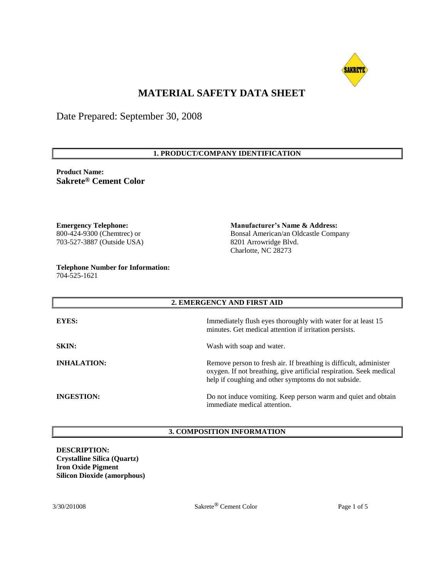

# **MATERIAL SAFETY DATA SHEET**

Date Prepared: September 30, 2008

# **1. PRODUCT/COMPANY IDENTIFICATION**

**Product Name: Sakrete® Cement Color**

**Emergency Telephone:** 800-424-9300 (Chemtrec) or 703-527-3887 (Outside USA)

**Telephone Number for Information:** 704-525-1621

**Manufacturer's Name & Address:** Bonsal American/an Oldcastle Company 8201 Arrowridge Blvd. Charlotte, NC 28273

| 2. EMERGENCY AND FIRST AID |                                                                                                                                                                                                 |  |  |
|----------------------------|-------------------------------------------------------------------------------------------------------------------------------------------------------------------------------------------------|--|--|
| <b>EYES:</b>               | Immediately flush eyes thoroughly with water for at least 15<br>minutes. Get medical attention if irritation persists.                                                                          |  |  |
| <b>SKIN:</b>               | Wash with soap and water.                                                                                                                                                                       |  |  |
| <b>INHALATION:</b>         | Remove person to fresh air. If breathing is difficult, administer<br>oxygen. If not breathing, give artificial respiration. Seek medical<br>help if coughing and other symptoms do not subside. |  |  |
| <b>INGESTION:</b>          | Do not induce vomiting. Keep person warm and quiet and obtain<br>immediate medical attention.                                                                                                   |  |  |

## **3. COMPOSITION INFORMATION**

**DESCRIPTION: Crystalline Silica (Quartz) Iron Oxide Pigment Silicon Dioxide (amorphous)**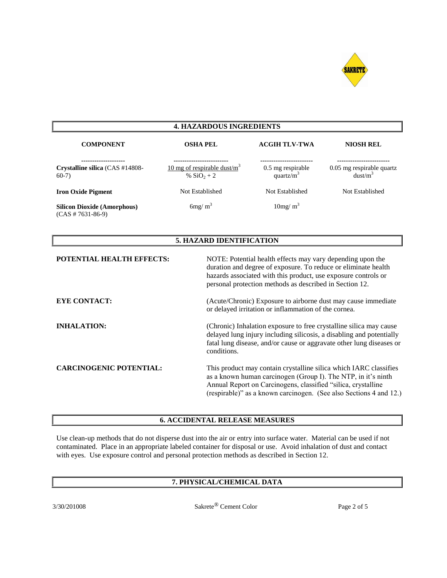

# **4. HAZARDOUS INGREDIENTS**

| <b>COMPONENT</b>                                          | <b>OSHA PEL</b>                                 | <b>ACGIH TLV-TWA</b>               | <b>NIOSH REL</b>                                 |
|-----------------------------------------------------------|-------------------------------------------------|------------------------------------|--------------------------------------------------|
| Crystalline silica (CAS #14808-<br>$60-7$                 | 10 mg of respirable dust/ $m3$<br>% $SiO_2 + 2$ | 0.5 mg respirable<br>quartz/ $m^3$ | 0.05 mg respirable quartz<br>dust/m <sup>3</sup> |
| <b>Iron Oxide Pigment</b>                                 | Not Established                                 | Not Established                    | Not Established                                  |
| <b>Silicon Dioxide (Amorphous)</b><br>$(CAS # 7631-86-9)$ | $6mg/m^3$                                       | 10mg/m <sup>3</sup>                |                                                  |

# **5. HAZARD IDENTIFICATION**

| <b>POTENTIAL HEALTH EFFECTS:</b> | NOTE: Potential health effects may vary depending upon the<br>duration and degree of exposure. To reduce or eliminate health<br>hazards associated with this product, use exposure controls or<br>personal protection methods as described in Section 12.                 |
|----------------------------------|---------------------------------------------------------------------------------------------------------------------------------------------------------------------------------------------------------------------------------------------------------------------------|
| <b>EYE CONTACT:</b>              | (Acute/Chronic) Exposure to airborne dust may cause immediate<br>or delayed irritation or inflammation of the cornea.                                                                                                                                                     |
| <b>INHALATION:</b>               | (Chronic) Inhalation exposure to free crystalline silica may cause<br>delayed lung injury including silicosis, a disabling and potentially<br>fatal lung disease, and/or cause or aggravate other lung diseases or<br>conditions.                                         |
| <b>CARCINOGENIC POTENTIAL:</b>   | This product may contain crystalline silica which IARC classifies<br>as a known human carcinogen (Group I). The NTP, in it's ninth<br>Annual Report on Carcinogens, classified "silica, crystalline<br>(respirable)" as a known carcinogen. (See also Sections 4 and 12.) |

## **6. ACCIDENTAL RELEASE MEASURES**

Use clean-up methods that do not disperse dust into the air or entry into surface water. Material can be used if not contaminated. Place in an appropriate labeled container for disposal or use. Avoid inhalation of dust and contact with eyes. Use exposure control and personal protection methods as described in Section 12.

# **7. PHYSICAL/CHEMICAL DATA**

3/30/201008 Sakrete® Cement Color Page 2 of 5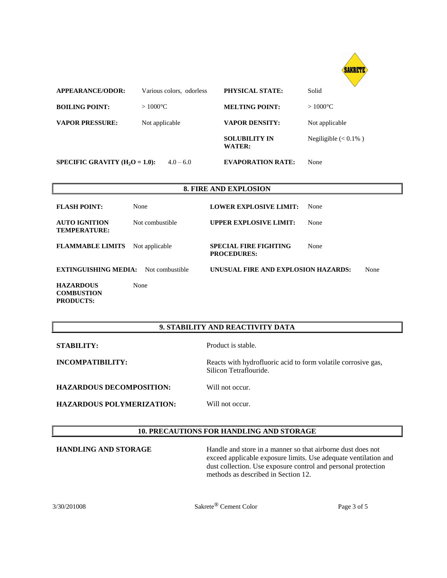

| <b>APPEARANCE/ODOR:</b>                                                               | Various colors, odorless | PHYSICAL STATE:                                    | $\vee$<br>Solid          |
|---------------------------------------------------------------------------------------|--------------------------|----------------------------------------------------|--------------------------|
| <b>BOILING POINT:</b>                                                                 | $>1000^{\circ}C$         | <b>MELTING POINT:</b>                              | $>1000^{\circ}C$         |
| <b>VAPOR PRESSURE:</b>                                                                | Not applicable           | <b>VAPOR DENSITY:</b>                              | Not applicable           |
|                                                                                       |                          | <b>SOLUBILITY IN</b><br><b>WATER:</b>              | Negiligible $(< 0.1\%$ ) |
| SPECIFIC GRAVITY $(H2O = 1.0)$ :                                                      | $4.0 - 6.0$              | <b>EVAPORATION RATE:</b>                           | None                     |
|                                                                                       |                          |                                                    |                          |
|                                                                                       |                          | <b>8. FIRE AND EXPLOSION</b>                       |                          |
| <b>FLASH POINT:</b>                                                                   | None                     | <b>LOWER EXPLOSIVE LIMIT:</b>                      | None                     |
| <b>AUTO IGNITION</b><br><b>TEMPERATURE:</b>                                           | Not combustible          | <b>UPPER EXPLOSIVE LIMIT:</b>                      | None                     |
| <b>FLAMMABLE LIMITS</b>                                                               | Not applicable           | <b>SPECIAL FIRE FIGHTING</b><br><b>PROCEDURES:</b> | None                     |
| <b>EXTINGUISHING MEDIA:</b><br>UNUSUAL FIRE AND EXPLOSION HAZARDS:<br>Not combustible |                          | None                                               |                          |
| <b>HAZARDOUS</b>                                                                      | None                     |                                                    |                          |

# **9. STABILITY AND REACTIVITY DATA**

**PRODUCTS:**

**STABILITY:** Product is stable.

**INCOMPATIBILITY:** Reacts with hydrofluoric acid to form volatile corrosive gas, Silicon Tetraflouride.

**HAZARDOUS DECOMPOSITION:** Will not occur.

**HAZARDOUS POLYMERIZATION:** Will not occur.

# **10. PRECAUTIONS FOR HANDLING AND STORAGE**

**HANDLING AND STORAGE** Handle and store in a manner so that airborne dust does not exceed applicable exposure limits. Use adequate ventilation and dust collection. Use exposure control and personal protection methods as described in Section 12.

3/30/201008 Sakrete® Cement Color Page 3 of 5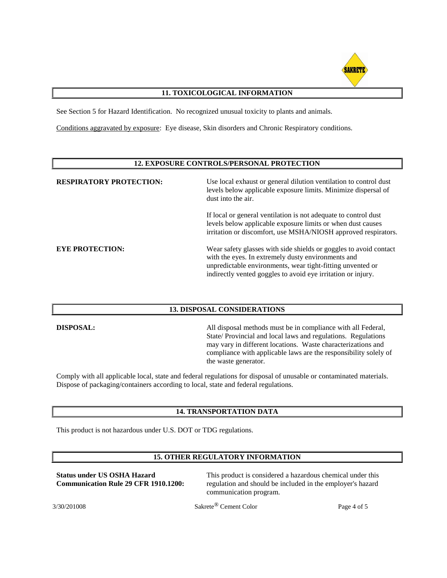

# **11. TOXICOLOGICAL INFORMATION**

See Section 5 for Hazard Identification. No recognized unusual toxicity to plants and animals.

Conditions aggravated by exposure: Eye disease, Skin disorders and Chronic Respiratory conditions.

## **12. EXPOSURE CONTROLS/PERSONAL PROTECTION**

| <b>RESPIRATORY PROTECTION:</b> | Use local exhaust or general dilution ventilation to control dust<br>levels below applicable exposure limits. Minimize dispersal of<br>dust into the air.                                                                                             |
|--------------------------------|-------------------------------------------------------------------------------------------------------------------------------------------------------------------------------------------------------------------------------------------------------|
|                                | If local or general ventilation is not adequate to control dust<br>levels below applicable exposure limits or when dust causes<br>irritation or discomfort, use MSHA/NIOSH approved respirators.                                                      |
| <b>EYE PROTECTION:</b>         | Wear safety glasses with side shields or goggles to avoid contact<br>with the eyes. In extremely dusty environments and<br>unpredictable environments, wear tight-fitting unvented or<br>indirectly vented goggles to avoid eye irritation or injury. |

## **13. DISPOSAL CONSIDERATIONS**

**DISPOSAL:** All disposal methods must be in compliance with all Federal, State/ Provincial and local laws and regulations. Regulations may vary in different locations. Waste characterizations and compliance with applicable laws are the responsibility solely of the waste generator.

Comply with all applicable local, state and federal regulations for disposal of unusable or contaminated materials. Dispose of packaging/containers according to local, state and federal regulations.

## **14. TRANSPORTATION DATA**

This product is not hazardous under U.S. DOT or TDG regulations.

## **15. OTHER REGULATORY INFORMATION**

**Status under US OSHA Hazard Communication Rule 29 CFR 1910.1200:** This product is considered a hazardous chemical under this regulation and should be included in the employer's hazard communication program.

3/30/201008 Sakrete® Cement Color Page 4 of 5